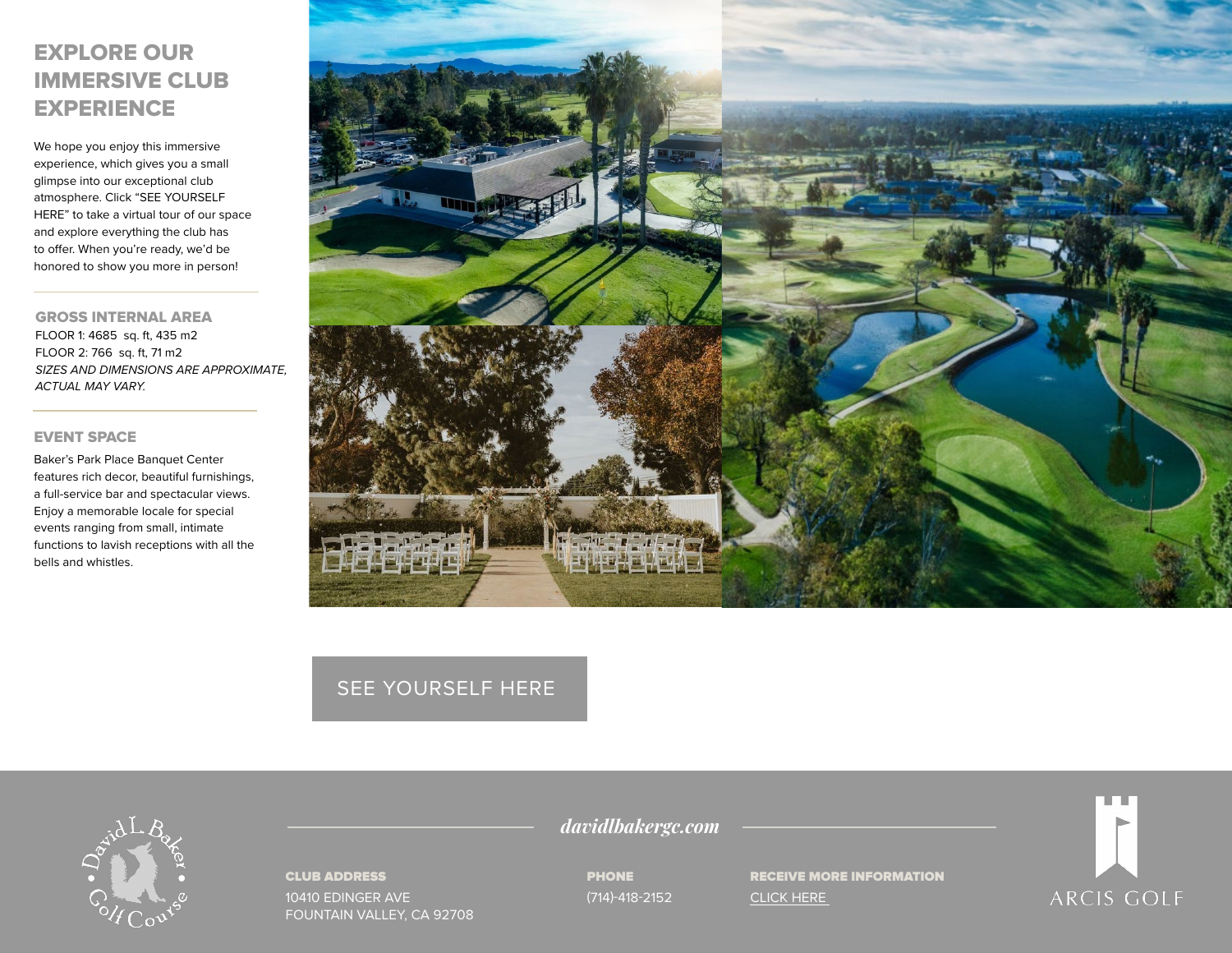# EXPLORE OUR IMMERSIVE CLUB **EXPERIENCE**

We hope you enjoy this immersive experience, which gives you a small glimpse into our exceptional club atmosphere. Click "SEE YOURSELF HERE" to take a virtual tour of our space and explore everything the club has to offer. When you're ready, we'd be honored to show you more in person!

GROSS INTERNAL AREA FLOOR 1: 4685 sq. ft, 435 m2 FLOOR 2: 766 sq. ft, 71 m2 *SIZES AND DIMENSIONS ARE APPROXIMATE, ACTUAL MAY VARY.*

### EVENT SPACE

Baker's Park Place Banquet Center features rich decor, beautiful furnishings, a full-service bar and spectacular views. Enjoy a memorable locale for special events ranging from small, intimate functions to lavish receptions with all the bells and whistles.



## [SEE YOURSELF HERE](https://visitingmedia.com/tt8/?ttid=david-l-baker-memorial-golf-course#/3d-model)



#### CLUB ADDRESS

10410 EDINGER AVE FOUNTAIN VALLEY, CA 92708 *davidlbakergc.com*

PHONE (714)-418-2152 RECEIVE MORE INFORMATION [CLICK HERE](https://www.davidlbakergc.com/private-events-vm) 

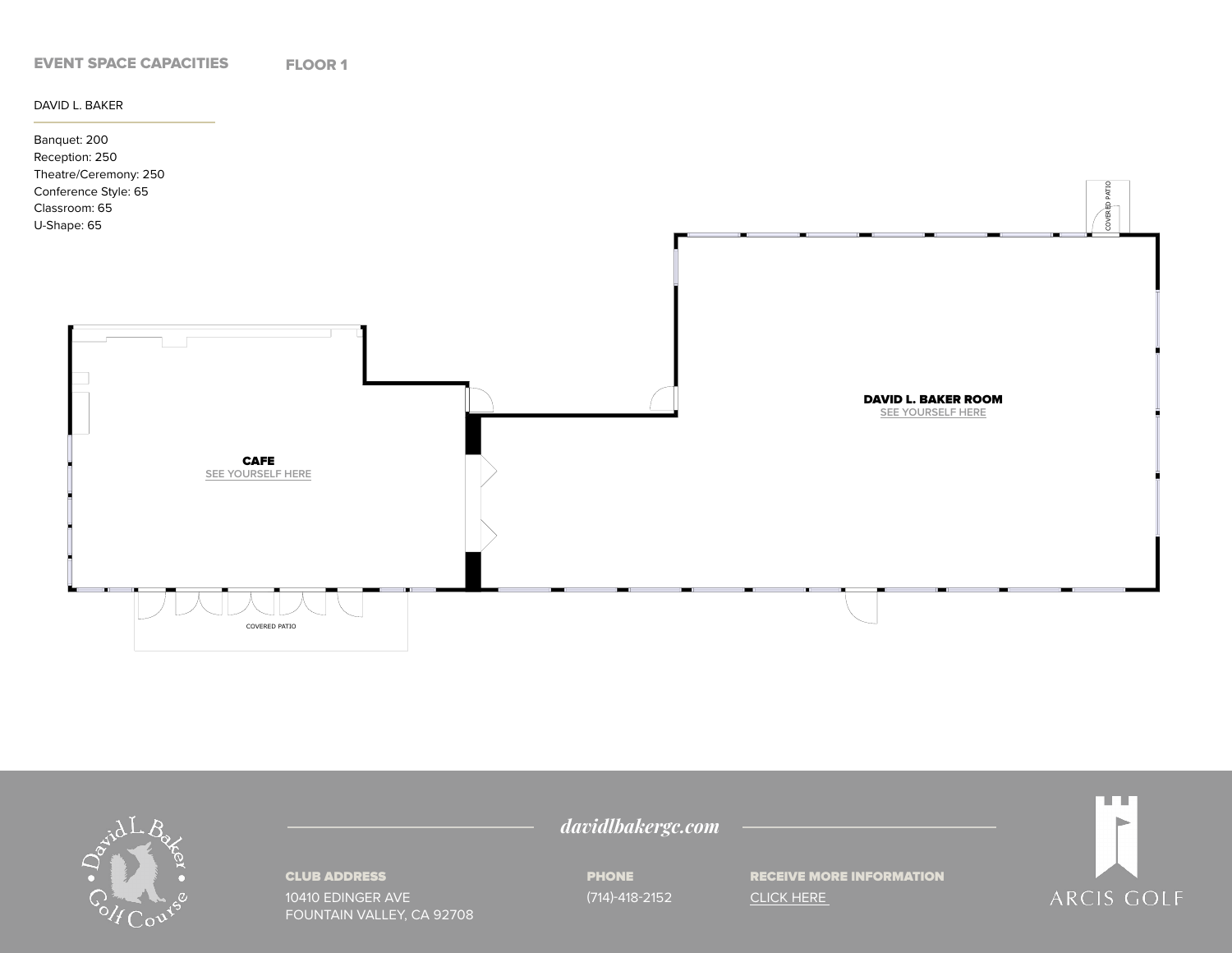

DAVID L. BAKER